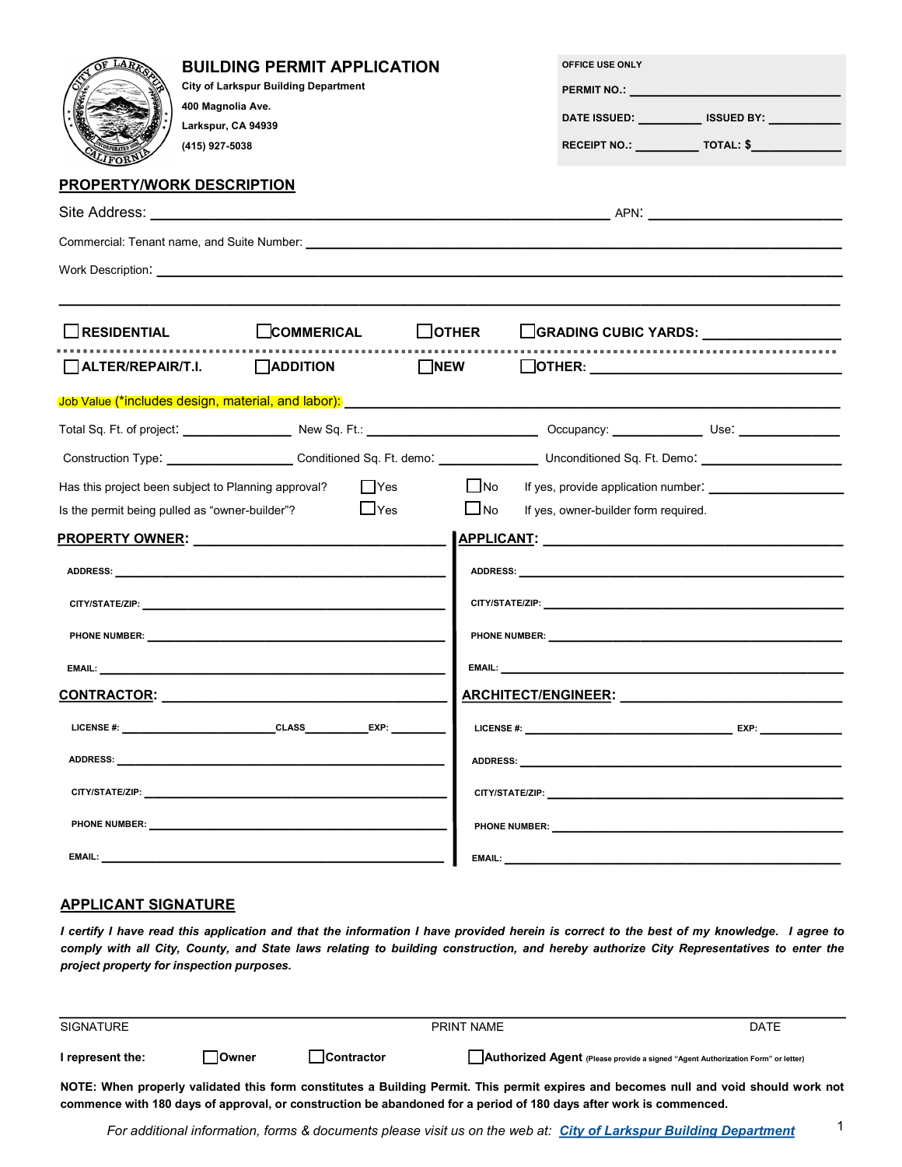| <b>BUILDING PERMIT APPLICATION</b><br><b>City of Larkspur Building Department</b><br>400 Magnolia Ave.<br>Larkspur, CA 94939<br>(415) 927-5038<br><b>PROPERTY/WORK DESCRIPTION</b>                                                                                                                                                                                                                                          |                         | OFFICE USE ONLY<br>DATE ISSUED: ____________ ISSUED BY: ___________<br>RECEIPT NO.: _____________ TOTAL: \$_______________                                                                                                          |  |  |
|-----------------------------------------------------------------------------------------------------------------------------------------------------------------------------------------------------------------------------------------------------------------------------------------------------------------------------------------------------------------------------------------------------------------------------|-------------------------|-------------------------------------------------------------------------------------------------------------------------------------------------------------------------------------------------------------------------------------|--|--|
|                                                                                                                                                                                                                                                                                                                                                                                                                             |                         |                                                                                                                                                                                                                                     |  |  |
|                                                                                                                                                                                                                                                                                                                                                                                                                             |                         |                                                                                                                                                                                                                                     |  |  |
|                                                                                                                                                                                                                                                                                                                                                                                                                             |                         |                                                                                                                                                                                                                                     |  |  |
|                                                                                                                                                                                                                                                                                                                                                                                                                             |                         |                                                                                                                                                                                                                                     |  |  |
| <b>RESIDENTIAL</b><br>$\Box$ COMMERICAL                                                                                                                                                                                                                                                                                                                                                                                     | $\Box$ OTHER            | GRADING CUBIC YARDS:                                                                                                                                                                                                                |  |  |
| $\Box$ ALTER/REPAIR/T.I. $\Box$ ADDITION                                                                                                                                                                                                                                                                                                                                                                                    | <b>EXAMPLE IN EWIS</b>  |                                                                                                                                                                                                                                     |  |  |
|                                                                                                                                                                                                                                                                                                                                                                                                                             |                         |                                                                                                                                                                                                                                     |  |  |
|                                                                                                                                                                                                                                                                                                                                                                                                                             |                         |                                                                                                                                                                                                                                     |  |  |
|                                                                                                                                                                                                                                                                                                                                                                                                                             |                         |                                                                                                                                                                                                                                     |  |  |
| Has this project been subject to Planning approval?                                                                                                                                                                                                                                                                                                                                                                         | $\Box$ No<br>$\Box$ Yes |                                                                                                                                                                                                                                     |  |  |
| $\Box$ Yes<br>Is the permit being pulled as "owner-builder"?                                                                                                                                                                                                                                                                                                                                                                |                         | No If yes, owner-builder form required.                                                                                                                                                                                             |  |  |
| PROPERTY OWNER: New York State And the Management of the State And The State And The Management of the State And The State And The State And The State And The State And The State And The State And The State And The State A                                                                                                                                                                                              |                         |                                                                                                                                                                                                                                     |  |  |
| ADDRESS: New York Products and the contract of the contract of the contract of the contract of the contract of                                                                                                                                                                                                                                                                                                              |                         |                                                                                                                                                                                                                                     |  |  |
|                                                                                                                                                                                                                                                                                                                                                                                                                             |                         |                                                                                                                                                                                                                                     |  |  |
|                                                                                                                                                                                                                                                                                                                                                                                                                             |                         | <b>PHONE NUMBER:</b> The contract of the contract of the contract of the contract of the contract of the contract of the contract of the contract of the contract of the contract of the contract of the contract of the contract o |  |  |
| <b>EMAIL:</b> The contract of the contract of the contract of the contract of the contract of the contract of the contract of the contract of the contract of the contract of the contract of the contract of the contract of the c<br><b>EMAIL: EMAIL: EMAIL: EMAIL: EMAIL: EMAIL: EMAIL: EMAIL: EMAIL: EMAIL: EMAIL: EMAIL: EMAIL: EMAIL: EMAIL: EMAIL: EMAIL: EMAIL: EMAIL: EMAIL: EMAIL: EMAIL: EMAIL: EMAIL: EMAIL</b> |                         |                                                                                                                                                                                                                                     |  |  |
| <u>CONTRACTOR: __________________________</u>                                                                                                                                                                                                                                                                                                                                                                               |                         | ARCHITECT/ENGINEER:                                                                                                                                                                                                                 |  |  |
| LICENSE #: LICENSE #:                                                                                                                                                                                                                                                                                                                                                                                                       |                         | LICENSE #: New York Products and the Second Second Second Second Second Second Second Second Second Second Second Second Second Second Second Second Second Second Second Second Second Second Second Second Second Second Sec      |  |  |
|                                                                                                                                                                                                                                                                                                                                                                                                                             |                         | ADDRESS: AND THE RESIDENCE OF THE RESIDENCE OF THE RESIDENCE OF THE RESIDENCE OF THE RESIDENCE OF THE RESIDENCE OF THE RESIDENCE OF THE RESIDENCE OF THE RESIDENCE OF THE RESIDENCE OF THE RESIDENCE OF THE RESIDENCE OF THE R      |  |  |
| CITY/STATE/ZIP: the contract of the contract of the contract of the contract of the contract of the contract of the contract of the contract of the contract of the contract of the contract of the contract of the contract o                                                                                                                                                                                              |                         |                                                                                                                                                                                                                                     |  |  |
| <b>PHONE NUMBER:</b> The contract of the contract of the contract of the contract of the contract of the contract of the contract of the contract of the contract of the contract of the contract of the contract of the contract o                                                                                                                                                                                         |                         | <b>PHONE NUMBER:</b> The contract of the contract of the contract of the contract of the contract of the contract of the contract of the contract of the contract of the contract of the contract of the contract of the contract o |  |  |
|                                                                                                                                                                                                                                                                                                                                                                                                                             |                         |                                                                                                                                                                                                                                     |  |  |

# **APPLICANT SIGNATURE**

*I certify I have read this application and that the information I have provided herein is correct to the best of my knowledge. I agree to comply with all City, County, and State laws relating to building construction, and hereby authorize City Representatives to enter the project property for inspection purposes.*

| SIGNATURE        |              |                   | PRINT NAME                                                                                                                           | <b>DATE</b> |
|------------------|--------------|-------------------|--------------------------------------------------------------------------------------------------------------------------------------|-------------|
| I represent the: | <b>Owner</b> | <b>Contractor</b> | Authorized Agent (Please provide a signed "Agent Authorization Form" or letter)                                                      |             |
|                  |              |                   | NOTE: When properly validated this form constitutes a Building Permit. This permit expires and becomes null and void should work not |             |
|                  |              |                   | commence with 180 days of approval, or construction be abandoned for a period of 180 days after work is commenced.                   |             |